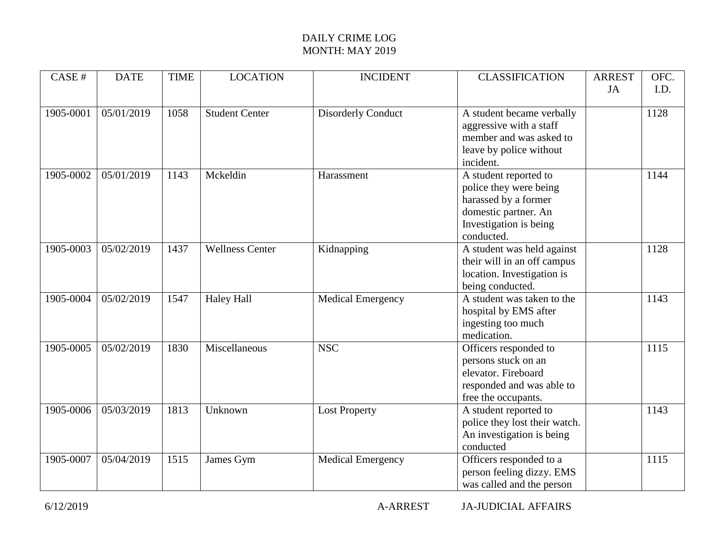| CASE #    | <b>DATE</b> | <b>TIME</b> | <b>LOCATION</b>        | <b>INCIDENT</b>           | <b>CLASSIFICATION</b>         | <b>ARREST</b> | OFC. |
|-----------|-------------|-------------|------------------------|---------------------------|-------------------------------|---------------|------|
|           |             |             |                        |                           |                               | JA            | I.D. |
|           |             |             |                        |                           |                               |               |      |
| 1905-0001 | 05/01/2019  | 1058        | <b>Student Center</b>  | <b>Disorderly Conduct</b> | A student became verbally     |               | 1128 |
|           |             |             |                        |                           | aggressive with a staff       |               |      |
|           |             |             |                        |                           | member and was asked to       |               |      |
|           |             |             |                        |                           | leave by police without       |               |      |
|           |             |             |                        |                           | incident.                     |               |      |
| 1905-0002 | 05/01/2019  | 1143        | Mckeldin               | Harassment                | A student reported to         |               | 1144 |
|           |             |             |                        |                           | police they were being        |               |      |
|           |             |             |                        |                           | harassed by a former          |               |      |
|           |             |             |                        |                           | domestic partner. An          |               |      |
|           |             |             |                        |                           | Investigation is being        |               |      |
|           |             |             |                        |                           | conducted.                    |               |      |
| 1905-0003 | 05/02/2019  | 1437        | <b>Wellness Center</b> | Kidnapping                | A student was held against    |               | 1128 |
|           |             |             |                        |                           | their will in an off campus   |               |      |
|           |             |             |                        |                           | location. Investigation is    |               |      |
|           |             |             |                        |                           | being conducted.              |               |      |
| 1905-0004 | 05/02/2019  | 1547        | <b>Haley Hall</b>      | <b>Medical Emergency</b>  | A student was taken to the    |               | 1143 |
|           |             |             |                        |                           | hospital by EMS after         |               |      |
|           |             |             |                        |                           | ingesting too much            |               |      |
|           |             |             |                        |                           | medication.                   |               |      |
| 1905-0005 | 05/02/2019  | 1830        | Miscellaneous          | <b>NSC</b>                | Officers responded to         |               | 1115 |
|           |             |             |                        |                           | persons stuck on an           |               |      |
|           |             |             |                        |                           | elevator. Fireboard           |               |      |
|           |             |             |                        |                           | responded and was able to     |               |      |
|           |             |             |                        |                           | free the occupants.           |               |      |
| 1905-0006 | 05/03/2019  | 1813        | Unknown                | <b>Lost Property</b>      | A student reported to         |               | 1143 |
|           |             |             |                        |                           | police they lost their watch. |               |      |
|           |             |             |                        |                           | An investigation is being     |               |      |
|           |             |             |                        |                           | conducted                     |               |      |
| 1905-0007 | 05/04/2019  | 1515        | James Gym              | <b>Medical Emergency</b>  | Officers responded to a       |               | 1115 |
|           |             |             |                        |                           | person feeling dizzy. EMS     |               |      |
|           |             |             |                        |                           | was called and the person     |               |      |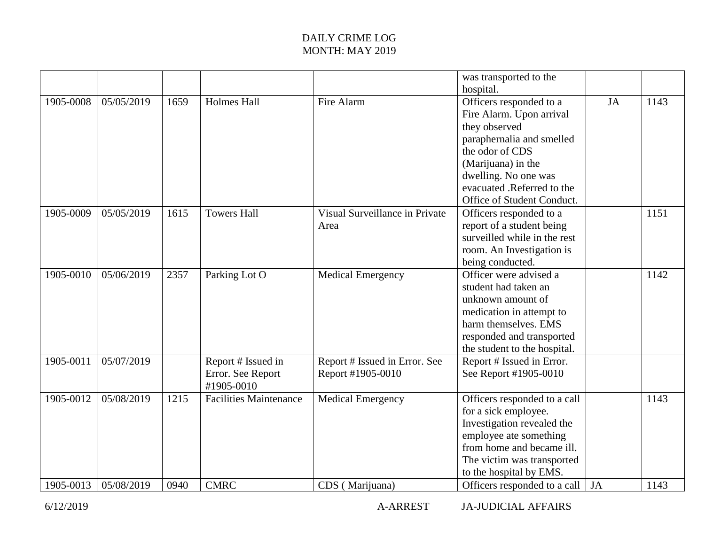|           |            |      |                                                       |                                                    | was transported to the<br>hospital.                                                                                                                                                                |    |      |
|-----------|------------|------|-------------------------------------------------------|----------------------------------------------------|----------------------------------------------------------------------------------------------------------------------------------------------------------------------------------------------------|----|------|
| 1905-0008 | 05/05/2019 | 1659 | <b>Holmes Hall</b>                                    | Fire Alarm                                         | Officers responded to a<br>Fire Alarm. Upon arrival<br>they observed<br>paraphernalia and smelled<br>the odor of CDS<br>(Marijuana) in the                                                         | JA | 1143 |
|           |            |      |                                                       |                                                    | dwelling. No one was<br>evacuated .Referred to the<br>Office of Student Conduct.                                                                                                                   |    |      |
| 1905-0009 | 05/05/2019 | 1615 | <b>Towers Hall</b>                                    | Visual Surveillance in Private<br>Area             | Officers responded to a<br>report of a student being<br>surveilled while in the rest<br>room. An Investigation is<br>being conducted.                                                              |    | 1151 |
| 1905-0010 | 05/06/2019 | 2357 | Parking Lot O                                         | <b>Medical Emergency</b>                           | Officer were advised a<br>student had taken an<br>unknown amount of<br>medication in attempt to<br>harm themselves. EMS<br>responded and transported<br>the student to the hospital.               |    | 1142 |
| 1905-0011 | 05/07/2019 |      | Report # Issued in<br>Error. See Report<br>#1905-0010 | Report # Issued in Error. See<br>Report #1905-0010 | Report # Issued in Error.<br>See Report #1905-0010                                                                                                                                                 |    |      |
| 1905-0012 | 05/08/2019 | 1215 | <b>Facilities Maintenance</b>                         | <b>Medical Emergency</b>                           | Officers responded to a call<br>for a sick employee.<br>Investigation revealed the<br>employee ate something<br>from home and became ill.<br>The victim was transported<br>to the hospital by EMS. |    | 1143 |
| 1905-0013 | 05/08/2019 | 0940 | <b>CMRC</b>                                           | CDS (Marijuana)                                    | Officers responded to a call                                                                                                                                                                       | JA | 1143 |

6/12/2019 A-ARREST JA-JUDICIAL AFFAIRS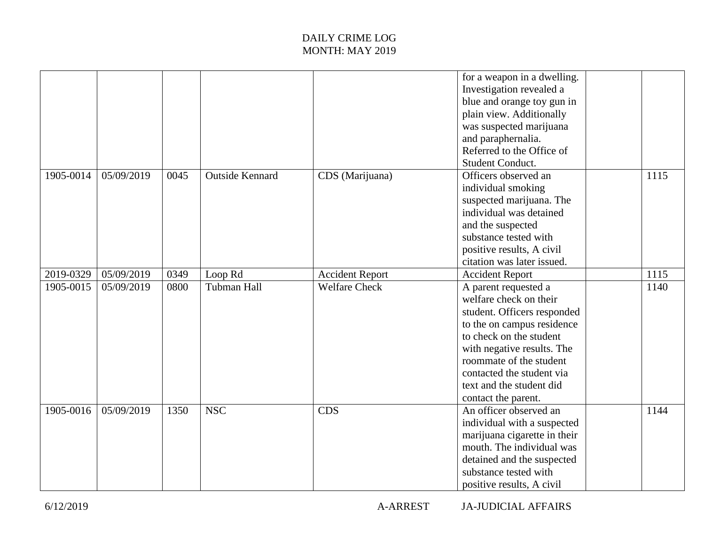|           |            |      |                        |                        | for a weapon in a dwelling.<br>Investigation revealed a<br>blue and orange toy gun in<br>plain view. Additionally<br>was suspected marijuana<br>and paraphernalia.<br>Referred to the Office of<br>Student Conduct.                                                             |      |
|-----------|------------|------|------------------------|------------------------|---------------------------------------------------------------------------------------------------------------------------------------------------------------------------------------------------------------------------------------------------------------------------------|------|
| 1905-0014 | 05/09/2019 | 0045 | <b>Outside Kennard</b> | CDS (Marijuana)        | Officers observed an<br>individual smoking<br>suspected marijuana. The<br>individual was detained<br>and the suspected<br>substance tested with<br>positive results, A civil<br>citation was later issued.                                                                      | 1115 |
| 2019-0329 | 05/09/2019 | 0349 | Loop Rd                | <b>Accident Report</b> | <b>Accident Report</b>                                                                                                                                                                                                                                                          | 1115 |
| 1905-0015 | 05/09/2019 | 0800 | <b>Tubman Hall</b>     | <b>Welfare Check</b>   | A parent requested a<br>welfare check on their<br>student. Officers responded<br>to the on campus residence<br>to check on the student<br>with negative results. The<br>roommate of the student<br>contacted the student via<br>text and the student did<br>contact the parent. | 1140 |
| 1905-0016 | 05/09/2019 | 1350 | <b>NSC</b>             | <b>CDS</b>             | An officer observed an<br>individual with a suspected<br>marijuana cigarette in their<br>mouth. The individual was<br>detained and the suspected<br>substance tested with<br>positive results, A civil                                                                          | 1144 |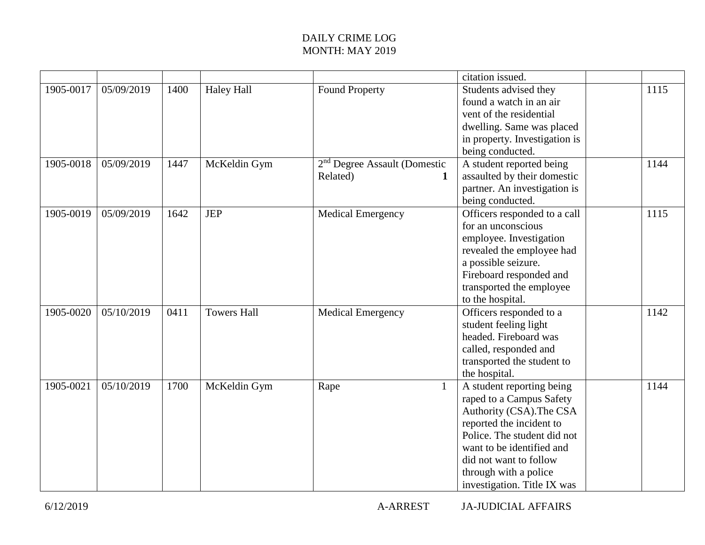|           |            |      |                    |                                          | citation issued.              |      |
|-----------|------------|------|--------------------|------------------------------------------|-------------------------------|------|
| 1905-0017 | 05/09/2019 | 1400 | <b>Haley Hall</b>  | <b>Found Property</b>                    | Students advised they         | 1115 |
|           |            |      |                    |                                          | found a watch in an air       |      |
|           |            |      |                    |                                          | vent of the residential       |      |
|           |            |      |                    |                                          | dwelling. Same was placed     |      |
|           |            |      |                    |                                          | in property. Investigation is |      |
|           |            |      |                    |                                          | being conducted.              |      |
| 1905-0018 | 05/09/2019 | 1447 | McKeldin Gym       | 2 <sup>nd</sup> Degree Assault (Domestic | A student reported being      | 1144 |
|           |            |      |                    | Related)                                 | assaulted by their domestic   |      |
|           |            |      |                    |                                          | partner. An investigation is  |      |
|           |            |      |                    |                                          | being conducted.              |      |
| 1905-0019 | 05/09/2019 | 1642 | <b>JEP</b>         | <b>Medical Emergency</b>                 | Officers responded to a call  | 1115 |
|           |            |      |                    |                                          | for an unconscious            |      |
|           |            |      |                    |                                          | employee. Investigation       |      |
|           |            |      |                    |                                          | revealed the employee had     |      |
|           |            |      |                    |                                          | a possible seizure.           |      |
|           |            |      |                    |                                          | Fireboard responded and       |      |
|           |            |      |                    |                                          | transported the employee      |      |
|           |            |      |                    |                                          | to the hospital.              |      |
| 1905-0020 | 05/10/2019 | 0411 | <b>Towers Hall</b> | <b>Medical Emergency</b>                 | Officers responded to a       | 1142 |
|           |            |      |                    |                                          | student feeling light         |      |
|           |            |      |                    |                                          | headed. Fireboard was         |      |
|           |            |      |                    |                                          | called, responded and         |      |
|           |            |      |                    |                                          | transported the student to    |      |
|           |            |      |                    |                                          | the hospital.                 |      |
| 1905-0021 | 05/10/2019 | 1700 | McKeldin Gym       | Rape                                     | A student reporting being     | 1144 |
|           |            |      |                    |                                          | raped to a Campus Safety      |      |
|           |            |      |                    |                                          | Authority (CSA). The CSA      |      |
|           |            |      |                    |                                          | reported the incident to      |      |
|           |            |      |                    |                                          | Police. The student did not   |      |
|           |            |      |                    |                                          | want to be identified and     |      |
|           |            |      |                    |                                          | did not want to follow        |      |
|           |            |      |                    |                                          | through with a police         |      |
|           |            |      |                    |                                          | investigation. Title IX was   |      |

6/12/2019 A-ARREST JA-JUDICIAL AFFAIRS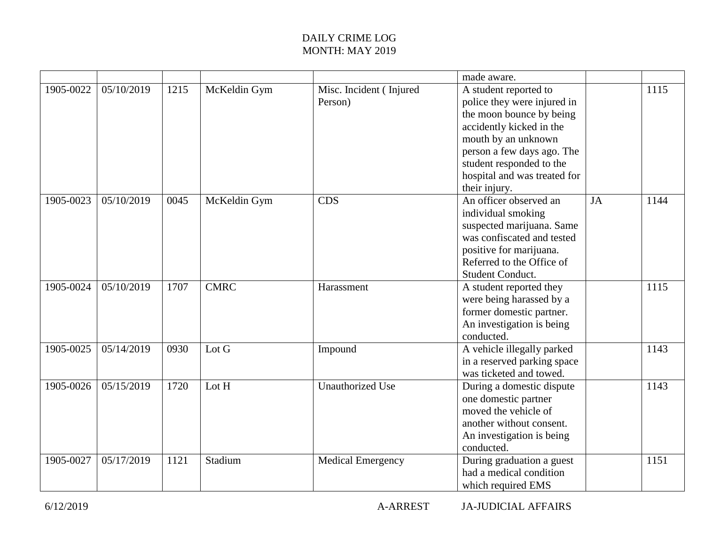|           |            |      |              |                                    | made aware.                                                                                                                                                                                                                   |    |      |
|-----------|------------|------|--------------|------------------------------------|-------------------------------------------------------------------------------------------------------------------------------------------------------------------------------------------------------------------------------|----|------|
| 1905-0022 | 05/10/2019 | 1215 | McKeldin Gym | Misc. Incident (Injured<br>Person) | A student reported to<br>police they were injured in<br>the moon bounce by being<br>accidently kicked in the<br>mouth by an unknown<br>person a few days ago. The<br>student responded to the<br>hospital and was treated for |    | 1115 |
|           |            |      |              |                                    | their injury.                                                                                                                                                                                                                 |    |      |
| 1905-0023 | 05/10/2019 | 0045 | McKeldin Gym | <b>CDS</b>                         | An officer observed an<br>individual smoking<br>suspected marijuana. Same<br>was confiscated and tested<br>positive for marijuana.<br>Referred to the Office of<br>Student Conduct.                                           | JA | 1144 |
| 1905-0024 | 05/10/2019 | 1707 | <b>CMRC</b>  | Harassment                         | A student reported they<br>were being harassed by a<br>former domestic partner.<br>An investigation is being<br>conducted.                                                                                                    |    | 1115 |
| 1905-0025 | 05/14/2019 | 0930 | Lot G        | Impound                            | A vehicle illegally parked<br>in a reserved parking space<br>was ticketed and towed.                                                                                                                                          |    | 1143 |
| 1905-0026 | 05/15/2019 | 1720 | Lot H        | <b>Unauthorized Use</b>            | During a domestic dispute<br>one domestic partner<br>moved the vehicle of<br>another without consent.<br>An investigation is being<br>conducted.                                                                              |    | 1143 |
| 1905-0027 | 05/17/2019 | 1121 | Stadium      | <b>Medical Emergency</b>           | During graduation a guest<br>had a medical condition<br>which required EMS                                                                                                                                                    |    | 1151 |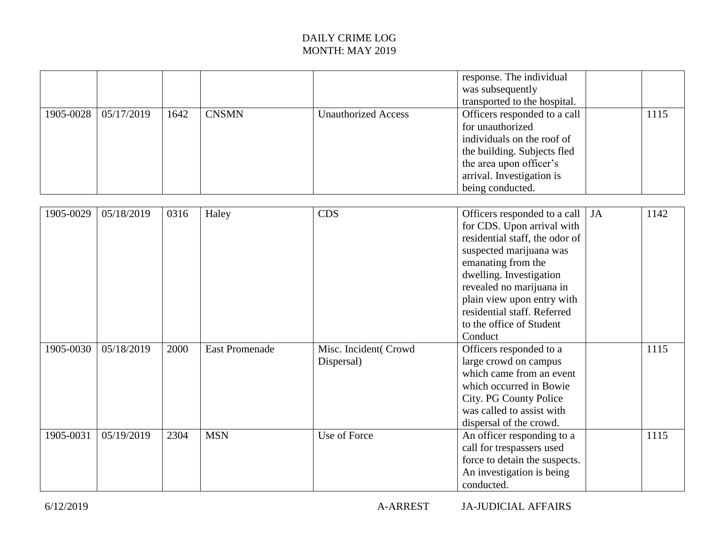| .         | .          | .    | ---          | ---                        | the area upon officer's<br>arrival. Investigation is<br>being conducted.<br>$ -$<br>$ -$<br>$ -$<br>. . | .    |
|-----------|------------|------|--------------|----------------------------|---------------------------------------------------------------------------------------------------------|------|
|           |            |      |              |                            | for unauthorized<br>individuals on the roof of<br>the building. Subjects fled                           |      |
| 1905-0028 | 05/17/2019 | 1642 | <b>CNSMN</b> | <b>Unauthorized Access</b> | Officers responded to a call                                                                            | 1115 |
|           |            |      |              |                            | response. The individual<br>was subsequently<br>transported to the hospital.                            |      |

| 1905-0029 | 05/18/2019 | 0316 | Haley                 | <b>CDS</b>                         | Officers responded to a call<br>for CDS. Upon arrival with<br>residential staff, the odor of<br>suspected marijuana was<br>emanating from the<br>dwelling. Investigation<br>revealed no marijuana in<br>plain view upon entry with<br>residential staff. Referred<br>to the office of Student<br>Conduct | <b>JA</b> | 1142 |
|-----------|------------|------|-----------------------|------------------------------------|----------------------------------------------------------------------------------------------------------------------------------------------------------------------------------------------------------------------------------------------------------------------------------------------------------|-----------|------|
| 1905-0030 | 05/18/2019 | 2000 | <b>East Promenade</b> | Misc. Incident(Crowd<br>Dispersal) | Officers responded to a<br>large crowd on campus<br>which came from an event<br>which occurred in Bowie<br>City. PG County Police<br>was called to assist with<br>dispersal of the crowd.                                                                                                                |           | 1115 |
| 1905-0031 | 05/19/2019 | 2304 | <b>MSN</b>            | Use of Force                       | An officer responding to a<br>call for trespassers used<br>force to detain the suspects.<br>An investigation is being<br>conducted.                                                                                                                                                                      |           | 1115 |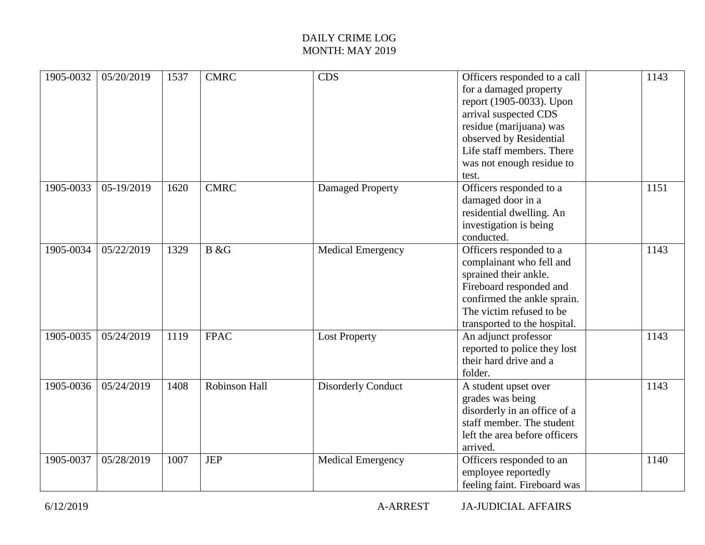| 1905-0032 | 05/20/2019 | 1537 | <b>CMRC</b>          | <b>CDS</b>                | Officers responded to a call<br>for a damaged property<br>report (1905-0033). Upon<br>arrival suspected CDS<br>residue (marijuana) was<br>observed by Residential<br>Life staff members. There<br>was not enough residue to<br>test. | 1143 |
|-----------|------------|------|----------------------|---------------------------|--------------------------------------------------------------------------------------------------------------------------------------------------------------------------------------------------------------------------------------|------|
| 1905-0033 | 05-19/2019 | 1620 | <b>CMRC</b>          | Damaged Property          | Officers responded to a<br>damaged door in a<br>residential dwelling. An<br>investigation is being<br>conducted.                                                                                                                     | 1151 |
| 1905-0034 | 05/22/2019 | 1329 | B &G                 | <b>Medical Emergency</b>  | Officers responded to a<br>complainant who fell and<br>sprained their ankle.<br>Fireboard responded and<br>confirmed the ankle sprain.<br>The victim refused to be<br>transported to the hospital.                                   | 1143 |
| 1905-0035 | 05/24/2019 | 1119 | <b>FPAC</b>          | <b>Lost Property</b>      | An adjunct professor<br>reported to police they lost<br>their hard drive and a<br>folder.                                                                                                                                            | 1143 |
| 1905-0036 | 05/24/2019 | 1408 | <b>Robinson Hall</b> | <b>Disorderly Conduct</b> | A student upset over<br>grades was being<br>disorderly in an office of a<br>staff member. The student<br>left the area before officers<br>arrived.                                                                                   | 1143 |
| 1905-0037 | 05/28/2019 | 1007 | <b>JEP</b>           | <b>Medical Emergency</b>  | Officers responded to an<br>employee reportedly<br>feeling faint. Fireboard was                                                                                                                                                      | 1140 |

6/12/2019 A-ARREST JA-JUDICIAL AFFAIRS